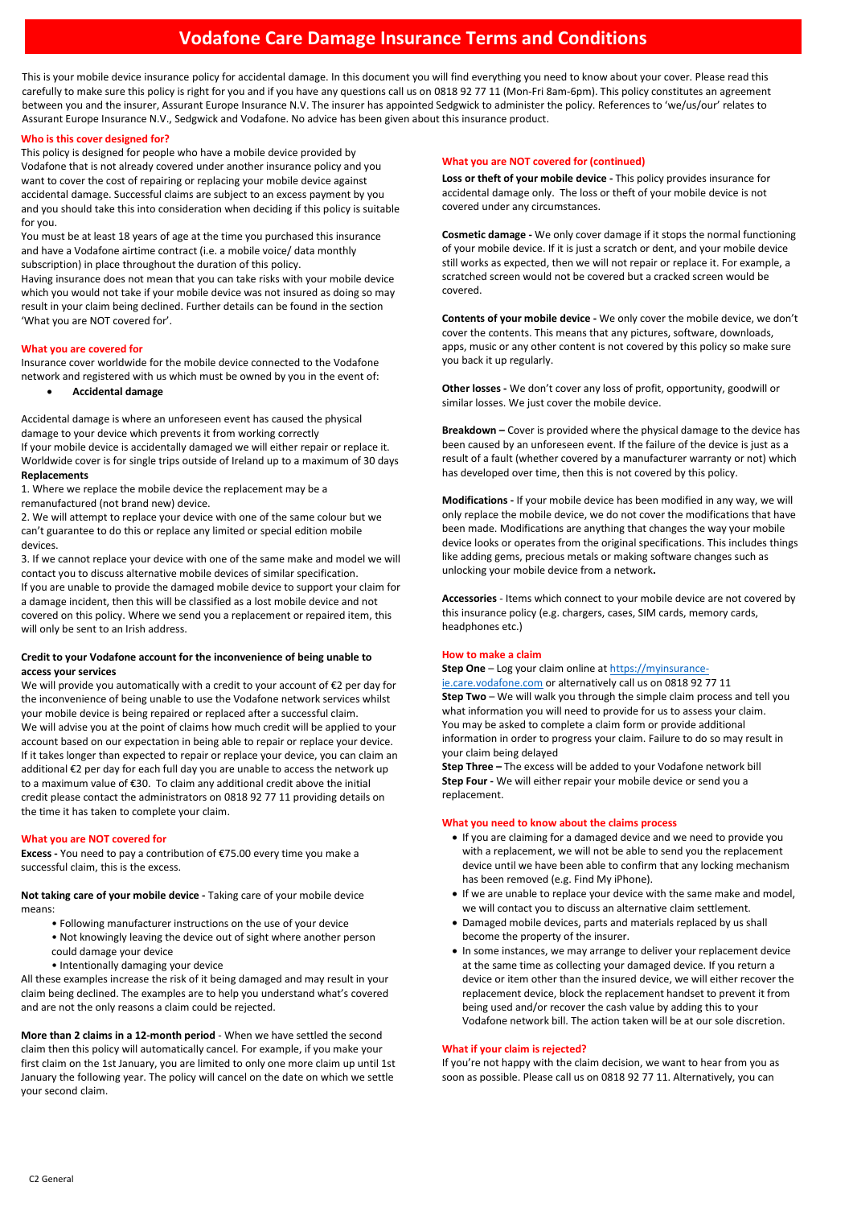# **Vodafone Care Damage Insurance Terms and Conditions**

This is your mobile device insurance policy for accidental damage. In this document you will find everything you need to know about your cover. Please read this carefully to make sure this policy is right for you and if you have any questions call us on 0818 92 77 11 (Mon-Fri 8am-6pm). This policy constitutes an agreement between you and the insurer, Assurant Europe Insurance N.V. The insurer has appointed Sedgwick to administer the policy. References to 'we/us/our' relates to Assurant Europe Insurance N.V., Sedgwick and Vodafone. No advice has been given about this insurance product.

## **Who is this cover designed for?**

This policy is designed for people who have a mobile device provided by Vodafone that is not already covered under another insurance policy and you want to cover the cost of repairing or replacing your mobile device against accidental damage. Successful claims are subject to an excess payment by you and you should take this into consideration when deciding if this policy is suitable for you.

You must be at least 18 years of age at the time you purchased this insurance and have a Vodafone airtime contract (i.e. a mobile voice/ data monthly subscription) in place throughout the duration of this policy.

Having insurance does not mean that you can take risks with your mobile device which you would not take if your mobile device was not insured as doing so may result in your claim being declined. Further details can be found in the section 'What you are NOT covered for'.

#### **What you are covered for**

Insurance cover worldwide for the mobile device connected to the Vodafone network and registered with us which must be owned by you in the event of:

• **Accidental damage**

Accidental damage is where an unforeseen event has caused the physical damage to your device which prevents it from working correctly If your mobile device is accidentally damaged we will either repair or replace it. Worldwide cover is for single trips outside of Ireland up to a maximum of 30 days **Replacements**

1. Where we replace the mobile device the replacement may be a remanufactured (not brand new) device.

2. We will attempt to replace your device with one of the same colour but we can't guarantee to do this or replace any limited or special edition mobile devices.

3. If we cannot replace your device with one of the same make and model we will contact you to discuss alternative mobile devices of similar specification. If you are unable to provide the damaged mobile device to support your claim for a damage incident, then this will be classified as a lost mobile device and not covered on this policy. Where we send you a replacement or repaired item, this will only be sent to an Irish address.

## **Credit to your Vodafone account for the inconvenience of being unable to access your services**

We will provide you automatically with a credit to your account of €2 per day for the inconvenience of being unable to use the Vodafone network services whilst your mobile device is being repaired or replaced after a successful claim. We will advise you at the point of claims how much credit will be applied to your account based on our expectation in being able to repair or replace your device. If it takes longer than expected to repair or replace your device, you can claim an additional €2 per day for each full day you are unable to access the network up to a maximum value of €30. To claim any additional credit above the initial credit please contact the administrators on 0818 92 77 11 providing details on the time it has taken to complete your claim.

## **What you are NOT covered for**

**Excess -** You need to pay a contribution of €75.00 every time you make a successful claim, this is the excess.

**Not taking care of your mobile device -** Taking care of your mobile device means:

- Following manufacturer instructions on the use of your device
- Not knowingly leaving the device out of sight where another person could damage your device
- Intentionally damaging your device

All these examples increase the risk of it being damaged and may result in your claim being declined. The examples are to help you understand what's covered and are not the only reasons a claim could be rejected.

**More than 2 claims in a 12-month period** - When we have settled the second claim then this policy will automatically cancel. For example, if you make your first claim on the 1st January, you are limited to only one more claim up until 1st January the following year. The policy will cancel on the date on which we settle your second claim.

#### **What you are NOT covered for (continued)**

**Loss or theft of your mobile device -** This policy provides insurance for accidental damage only. The loss or theft of your mobile device is not covered under any circumstances.

**Cosmetic damage -** We only cover damage if it stops the normal functioning of your mobile device. If it is just a scratch or dent, and your mobile device still works as expected, then we will not repair or replace it. For example, a scratched screen would not be covered but a cracked screen would be covered.

**Contents of your mobile device -** We only cover the mobile device, we don't cover the contents. This means that any pictures, software, downloads, apps, music or any other content is not covered by this policy so make sure you back it up regularly.

**Other losses -** We don't cover any loss of profit, opportunity, goodwill or similar losses. We just cover the mobile device.

**Breakdown –** Cover is provided where the physical damage to the device has been caused by an unforeseen event. If the failure of the device is just as a result of a fault (whether covered by a manufacturer warranty or not) which has developed over time, then this is not covered by this policy.

**Modifications -** If your mobile device has been modified in any way, we will only replace the mobile device, we do not cover the modifications that have been made. Modifications are anything that changes the way your mobile device looks or operates from the original specifications. This includes things like adding gems, precious metals or making software changes such as unlocking your mobile device from a network**.**

**Accessories** - Items which connect to your mobile device are not covered by this insurance policy (e.g. chargers, cases, SIM cards, memory cards, headphones etc.)

#### **How to make a claim**

**Step One** – Log your claim online a[t https://myinsurance-](https://myinsurance-ie.care.vodafone.com/)

[ie.care.vodafone.com](https://myinsurance-ie.care.vodafone.com/) or alternatively call us on 0818 92 77 11 **Step Two** – We will walk you through the simple claim process and tell you what information you will need to provide for us to assess your claim. You may be asked to complete a claim form or provide additional information in order to progress your claim. Failure to do so may result in your claim being delayed

**Step Three –** The excess will be added to your Vodafone network bill **Step Four -** We will either repair your mobile device or send you a replacement.

## **What you need to know about the claims process**

- If you are claiming for a damaged device and we need to provide you with a replacement, we will not be able to send you the replacement device until we have been able to confirm that any locking mechanism has been removed (e.g. Find My iPhone).
- If we are unable to replace your device with the same make and model, we will contact you to discuss an alternative claim settlement.
- Damaged mobile devices, parts and materials replaced by us shall become the property of the insurer.
- In some instances, we may arrange to deliver your replacement device at the same time as collecting your damaged device. If you return a device or item other than the insured device, we will either recover the replacement device, block the replacement handset to prevent it from being used and/or recover the cash value by adding this to your Vodafone network bill. The action taken will be at our sole discretion.

## **What if your claim is rejected?**

If you're not happy with the claim decision, we want to hear from you as soon as possible. Please call us on 0818 92 77 11. Alternatively, you can